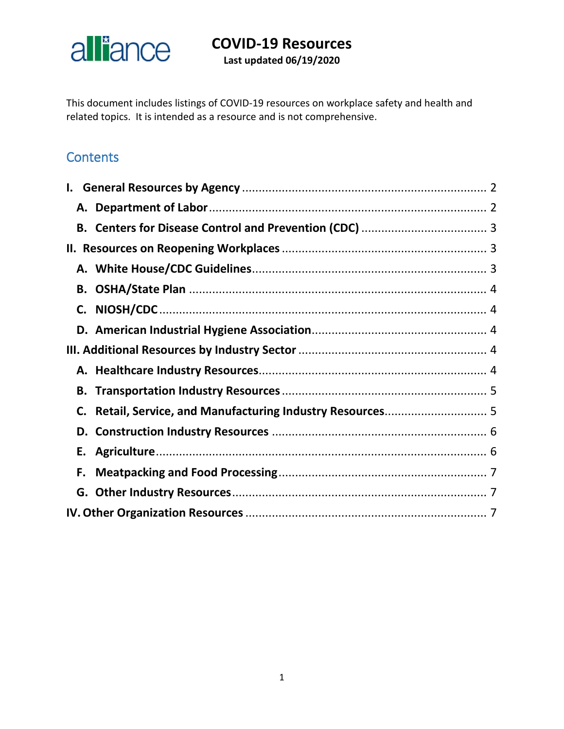# alliance

# **COVID-19 Resources**

**Last updated 06/19/2020**

This document includes listings of COVID-19 resources on workplace safety and health and related topics. It is intended as a resource and is not comprehensive.

### **Contents**

| C. |  |  |
|----|--|--|
|    |  |  |
| Е. |  |  |
| F. |  |  |
|    |  |  |
|    |  |  |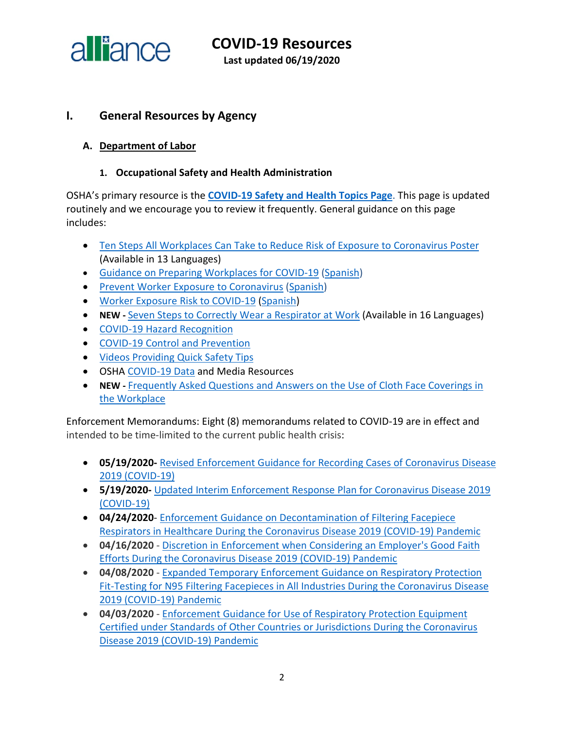

**COVID-19 Resources Last updated 06/19/2020**

#### <span id="page-1-0"></span>**I. General Resources by Agency**

#### <span id="page-1-1"></span>**A. Department of Labor**

#### **1. Occupational Safety and Health Administration**

OSHA's primary resource is the **[COVID-19 Safety and Health Topics Page](https://www.osha.gov/SLTC/covid-19/)**. This page is updated routinely and we encourage you to review it frequently. General guidance on this page includes:

- [Ten Steps All Workplaces Can Take to Reduce Risk of Exposure to Coronavirus Poster](https://www.osha.gov/pls/publications/publication.html#c19) (Available in 13 Languages)
- [Guidance on Preparing Workplaces for COVID-19](https://www.osha.gov/Publications/OSHA3990.pdf) [\(Spanish\)](https://www.osha.gov/Publications/OSHA3992.pdf)
- [Prevent Worker Exposure to Coronavirus](https://www.osha.gov/Publications/OSHA3989.pdf) [\(Spanish\)](https://www.osha.gov/Publications/OSHA3991.pdf)
- [Worker Exposure Risk to COVID-19](https://gcc01.safelinks.protection.outlook.com/?url=https%3A%2F%2Fwww.osha.gov%2FPublications%2FOSHA3993.pdf&data=02%7C01%7CJones.Tina%40dol.gov%7C6e2c3b1ce10f40013c9508d7da6a3123%7C75a6305472044e0c9126adab971d4aca%7C0%7C0%7C637218021941315643&sdata=8Qkg7qXjpicIogFQP3X08rJ7n0TVWggPMgQvrxMnfMc%3D&reserved=0) [\(Spanish\)](https://gcc01.safelinks.protection.outlook.com/?url=https%3A%2F%2Fwww.osha.gov%2FPublications%2FOSHA3993SP.pdf&data=02%7C01%7CJones.Tina%40dol.gov%7C6e2c3b1ce10f40013c9508d7da6a3123%7C75a6305472044e0c9126adab971d4aca%7C0%7C0%7C637218021941315643&sdata=SnppZp%2FLhoXUhx07kT828WxpRx9EzG34cXCHI%2BTN8nk%3D&reserved=0)
- **NEW -** [Seven Steps to Correctly Wear a Respirator at Work](https://www.osha.gov/pls/publications/publication.html#seven-steps) (Available in 16 Languages)
- [COVID-19 Hazard Recognition](https://www.osha.gov/SLTC/covid-19/hazardrecognition.html)
- [COVID-19 Control and Prevention](https://www.osha.gov/SLTC/covid-19/controlprevention.html)
- [Videos Providing Quick Safety Tips](https://www.osha.gov/#covidVideos)
- OSHA [COVID-19 Data](https://www.osha.gov/news) and Media Resources
- **NEW -** [Frequently Asked Questions and Answers on the Use of Cloth Face Coverings in](https://www.osha.gov/SLTC/covid-19/covid-19-faq.html)  [the Workplace](https://www.osha.gov/SLTC/covid-19/covid-19-faq.html)

Enforcement Memorandums: Eight (8) memorandums related to COVID-19 are in effect and intended to be time-limited to the current public health crisis:

- **05/19/2020-** [Revised Enforcement Guidance for Recording Cases of Coronavirus Disease](https://www.osha.gov/memos/2020-05-19/revised-enforcement-guidance-recording-cases-coronavirus-disease-2019-covid-19)  [2019 \(COVID-19\)](https://www.osha.gov/memos/2020-05-19/revised-enforcement-guidance-recording-cases-coronavirus-disease-2019-covid-19)
- **5/19/2020-** [Updated Interim Enforcement Response Plan for Coronavirus Disease 2019](https://www.osha.gov/memos/2020-05-19/updated-interim-enforcement-response-plan-coronavirus-disease-2019-covid-19)  [\(COVID-19\)](https://www.osha.gov/memos/2020-05-19/updated-interim-enforcement-response-plan-coronavirus-disease-2019-covid-19)
- **04/24/2020** [Enforcement Guidance on Decontamination of Filtering Facepiece](https://www.osha.gov/memos/2020-04-24/enforcement-guidance-decontamination-filtering-facepiece-respirators-healthcare)  [Respirators in Healthcare During the Coronavirus Disease 2019](https://www.osha.gov/memos/2020-04-24/enforcement-guidance-decontamination-filtering-facepiece-respirators-healthcare) (COVID-19) Pandemic
- **04/16/2020**  [Discretion in Enforcement when Considering an Employer's Good Faith](https://www.osha.gov/memos/2020-04-16/discretion-enforcement-when-considering-employers-good-faith-efforts-during)  [Efforts During the Coronavirus Disease 2019 \(COVID-19\) Pandemic](https://www.osha.gov/memos/2020-04-16/discretion-enforcement-when-considering-employers-good-faith-efforts-during)
- **04/08/2020**  [Expanded Temporary Enforcement Guidance on Respiratory Protection](https://www.osha.gov/memos/2020-04-08/expanded-temporary-enforcement-guidance-respiratory-protection-fit-testing-n95)  [Fit-Testing for N95 Filtering Facepieces in All Industries During the Coronavirus Disease](https://www.osha.gov/memos/2020-04-08/expanded-temporary-enforcement-guidance-respiratory-protection-fit-testing-n95)  [2019 \(COVID-19\) Pandemic](https://www.osha.gov/memos/2020-04-08/expanded-temporary-enforcement-guidance-respiratory-protection-fit-testing-n95)
- **04/03/2020**  [Enforcement Guidance for Use of Respiratory Protection Equipment](https://www.osha.gov/memos/2020-04-03/enforcement-guidance-use-respiratory-protection-equipment-certified-under)  [Certified under Standards of Other Countries or Jurisdictions During the Coronavirus](https://www.osha.gov/memos/2020-04-03/enforcement-guidance-use-respiratory-protection-equipment-certified-under)  [Disease 2019 \(COVID-19\) Pandemic](https://www.osha.gov/memos/2020-04-03/enforcement-guidance-use-respiratory-protection-equipment-certified-under)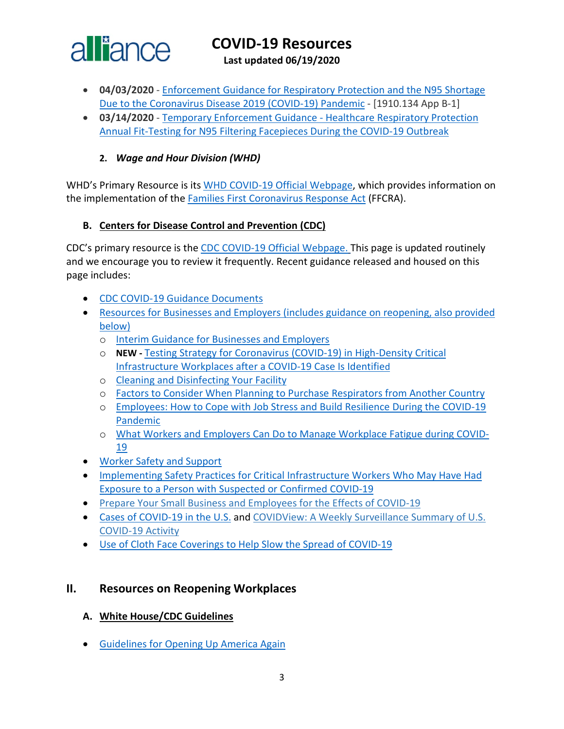

**Last updated 06/19/2020**

- **04/03/2020**  [Enforcement Guidance for Respiratory Protection and the N95 Shortage](https://www.osha.gov/memos/2020-04-03/enforcement-guidance-respiratory-protection-and-n95-shortage-due-coronavirus)  [Due to the Coronavirus Disease 2019 \(COVID-19\) Pandemic](https://www.osha.gov/memos/2020-04-03/enforcement-guidance-respiratory-protection-and-n95-shortage-due-coronavirus) - [1910.134 App B-1]
- **03/14/2020**  [Temporary Enforcement Guidance -](https://www.osha.gov/memos/2020-03-14/temporary-enforcement-guidance-healthcare-respiratory-protection-annual-fit) Healthcare Respiratory Protection [Annual Fit-Testing for N95 Filtering Facepieces During the COVID-19 Outbreak](https://www.osha.gov/memos/2020-03-14/temporary-enforcement-guidance-healthcare-respiratory-protection-annual-fit)

#### **2.** *Wage and Hour Division (WHD)*

WHD's Primary Resource is its [WHD COVID-19 Official Webpage,](https://www.dol.gov/agencies/whd/pandemic) which provides information on the implementation of the [Families First Coronavirus Response Act](https://www.dol.gov/agencies/whd/ffcra) (FFCRA).

#### <span id="page-2-0"></span>**B. Centers for Disease Control and Prevention (CDC)**

CDC's primary resource is the CDC [COVID-19 Official Webpage.](https://www.cdc.gov/coronavirus/2019-nCoV/index.html) This page is updated routinely and we encourage you to review it frequently. Recent guidance released and housed on this page includes:

- [CDC COVID-19 Guidance Documents](https://www.cdc.gov/coronavirus/2019-ncov/communication/guidance-list.html?Sort=Date%3A%3Adesc)
- [Resources for Businesses and Employers \(includes guidance on reopening, also provided](https://www.cdc.gov/coronavirus/2019-ncov/community/organizations/businesses-employers.html)  [below\)](https://www.cdc.gov/coronavirus/2019-ncov/community/organizations/businesses-employers.html)
	- o [Interim Guidance for Businesses and Employers](https://www.cdc.gov/coronavirus/2019-ncov/community/guidance-business-response.html)
	- o **NEW -** [Testing Strategy for Coronavirus \(COVID-19\) in High-Density Critical](https://www.cdc.gov/coronavirus/2019-ncov/community/worker-safety-support/hd-testing.html)  [Infrastructure Workplaces after a COVID-19 Case Is Identified](https://www.cdc.gov/coronavirus/2019-ncov/community/worker-safety-support/hd-testing.html)
	- o [Cleaning and Disinfecting Your](https://www.cdc.gov/coronavirus/2019-ncov/community/clean-disinfect/index.html) Facility
	- o [Factors to Consider When Planning to Purchase Respirators from Another Country](https://www.cdc.gov/coronavirus/2019-ncov/hcp/ppe-strategy/international-respirator-purchase.html?deliveryName=USCDC_10_4-DM27902)
	- o [Employees: How to Cope with Job Stress and Build Resilience During the COVID-19](https://www.cdc.gov/coronavirus/2019-ncov/community/mental-health-non-healthcare.html?deliveryName=USCDC_10_4-DM27902)  [Pandemic](https://www.cdc.gov/coronavirus/2019-ncov/community/mental-health-non-healthcare.html?deliveryName=USCDC_10_4-DM27902)
	- o [What Workers and Employers Can Do to Manage Workplace Fatigue during COVID-](https://www.cdc.gov/coronavirus/2019-ncov/hcp/managing-workplace-fatigue.html?deliveryName=USCDC_10_4-DM27902)[19](https://www.cdc.gov/coronavirus/2019-ncov/hcp/managing-workplace-fatigue.html?deliveryName=USCDC_10_4-DM27902)
- [Worker Safety and Support](https://www.cdc.gov/coronavirus/2019-ncov/community/worker-safety-support/index.html)
- [Implementing Safety Practices for Critical Infrastructure Workers Who May Have Had](https://www.cdc.gov/coronavirus/2019-ncov/community/critical-workers/implementing-safety-practices.html?deliveryName=USCDC_10_4-DM27902)  [Exposure to a Person with Suspected or Confirmed COVID-19](https://www.cdc.gov/coronavirus/2019-ncov/community/critical-workers/implementing-safety-practices.html?deliveryName=USCDC_10_4-DM27902)
- [Prepare Your Small Business and Employees for the Effects of COVID-19](https://gcc01.safelinks.protection.outlook.com/?url=https%3A%2F%2Fwww.cdc.gov%2Fcoronavirus%2F2019-ncov%2Fcommunity%2Fguidance-small-business.html&data=02%7C01%7CLee.Joey.C%40dol.gov%7Cd3f028a2390845ad13b208d7e073765f%7C75a6305472044e0c9126adab971d4aca%7C0%7C0%7C637224658823422112&sdata=afIVXnYi82UYP1zyR2iOZP07LFSoUrCLAneLSEqORqU%3D&reserved=0)
- Cases [of COVID-19](https://www.cdc.gov/coronavirus/2019-ncov/cases-updates/cases-in-us.html) in the U.S. and [COVIDView: A Weekly Surveillance Summary of U.S.](https://gcc01.safelinks.protection.outlook.com/?url=https%3A%2F%2Fwww.cdc.gov%2Fcoronavirus%2F2019-ncov%2Fcovid-data%2Fcovidview.html&data=02%7C01%7CLee.Joey.C%40dol.gov%7Cd3f028a2390845ad13b208d7e073765f%7C75a6305472044e0c9126adab971d4aca%7C0%7C0%7C637224658823422112&sdata=4b4tPfmagxP7%2F1KsH0tTYeWyaq9vb5P8W%2B301lTIxfI%3D&reserved=0)  [COVID-19 Activity](https://gcc01.safelinks.protection.outlook.com/?url=https%3A%2F%2Fwww.cdc.gov%2Fcoronavirus%2F2019-ncov%2Fcovid-data%2Fcovidview.html&data=02%7C01%7CLee.Joey.C%40dol.gov%7Cd3f028a2390845ad13b208d7e073765f%7C75a6305472044e0c9126adab971d4aca%7C0%7C0%7C637224658823422112&sdata=4b4tPfmagxP7%2F1KsH0tTYeWyaq9vb5P8W%2B301lTIxfI%3D&reserved=0)
- [Use of Cloth Face Coverings to Help Slow the Spread of COVID-19](https://www.cdc.gov/coronavirus/2019-ncov/prevent-getting-sick/diy-cloth-face-coverings.html)

#### <span id="page-2-1"></span>**II. Resources on Reopening Workplaces**

- <span id="page-2-2"></span>**A. White House/CDC Guidelines**
- [Guidelines for Opening Up America Again](https://www.whitehouse.gov/wp-content/uploads/2020/04/Guidelines-for-Opening-Up-America-Again.pdf)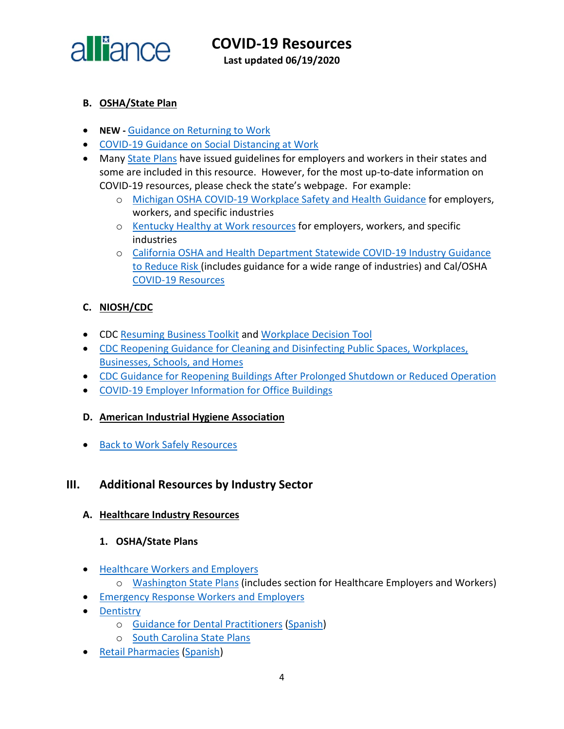

**COVID-19 Resources Last updated 06/19/2020**

- <span id="page-3-0"></span>**B. OSHA/State Plan**
- **NEW -** [Guidance on Returning to Work](https://www.osha.gov/Publications/OSHA4045.pdf)
- [COVID-19 Guidance on Social Distancing at Work](https://www.osha.gov/Publications/OSHA4027.pdf)
- Many [State Plans](https://www.osha.gov/stateplans) have issued guidelines for employers and workers in their states and some are included in this resource. However, for the most up-to-date information on COVID-19 resources, please check the state's webpage. For example:
	- o [Michigan OSHA COVID-19 Workplace Safety and Health Guidance](https://www.michigan.gov/leo/0,5863,7-336-100207---,00.html) for employers, workers, and specific industries
	- o [Kentucky Healthy at Work resources](https://govstatus.egov.com/ky-healthy-at-work) for employers, workers, and specific industries
	- o [California OSHA and Health Department Statewide COVID-19 Industry Guidance](https://covid19.ca.gov/industry-guidance/)  [to Reduce Risk](https://covid19.ca.gov/industry-guidance/) (includes guidance for a wide range of industries) and Cal/OSHA [COVID-19 Resources](https://www.dir.ca.gov/dosh/coronavirus/)

#### <span id="page-3-1"></span>**C. NIOSH/CDC**

- CDC [Resuming Business Toolkit](https://www.cdc.gov/coronavirus/2019-ncov/community/resuming-business-toolkit.html?deliveryName=USCDC_10_4-DM29483) and [Workplace Decision Tool](https://www.cdc.gov/coronavirus/2019-ncov/community/organizations/workplace-decision-tool.html)
- [CDC Reopening Guidance for Cleaning and Disinfecting Public Spaces, Workplaces,](https://www.cdc.gov/coronavirus/2019-ncov/community/reopen-guidance.html?deliveryName=USCDC_10_4-DM27264)  [Businesses, Schools, and Homes](https://www.cdc.gov/coronavirus/2019-ncov/community/reopen-guidance.html?deliveryName=USCDC_10_4-DM27264)
- [CDC Guidance for Reopening Buildings After Prolonged Shutdown or Reduced Operation](https://www.cdc.gov/coronavirus/2019-ncov/php/building-water-system.html)
- [COVID-19 Employer Information for Office Buildings](https://www.cdc.gov/coronavirus/2019-ncov/community/office-buildings.html?deliveryName=USCDC_10_4-DM29483)
- <span id="page-3-2"></span>**D. American Industrial Hygiene Association**
- [Back to Work Safely Resources](https://www.backtoworksafely.org/)

#### <span id="page-3-3"></span>**III. Additional Resources by Industry Sector**

- <span id="page-3-4"></span>**A. Healthcare Industry Resources**
	- **1. OSHA/State Plans**
- [Healthcare Workers and Employers](https://www.osha.gov/SLTC/covid-19/healthcare-workers.html)
	- o [Washington State Plans](https://www.doh.wa.gov/Emergencies/NovelCoronavirusOutbreak2020COVID19/ResourcesandRecommendations) (includes section for Healthcare Employers and Workers)
- [Emergency Response Workers and Employers](https://www.osha.gov/SLTC/covid-19/emergency-response.html)
- [Dentistry](https://www.osha.gov/SLTC/covid-19/dentistry.html)
	- o [Guidance for Dental Practitioners](https://www.osha.gov/Publications/OSHA4019.pdf) [\(Spanish\)](https://www.osha.gov/Publications/OSHA4020.pdf)
	- o [South Carolina State Plans](http://www.scosha.llronline.com/pdfs/2020/Covid19%20Fact%20Sheet.pdf)
- [Retail Pharmacies](https://www.osha.gov/Publications/OSHA4023.pdf) [\(Spanish\)](https://www.osha.gov/Publications/OSHA4024.pdf)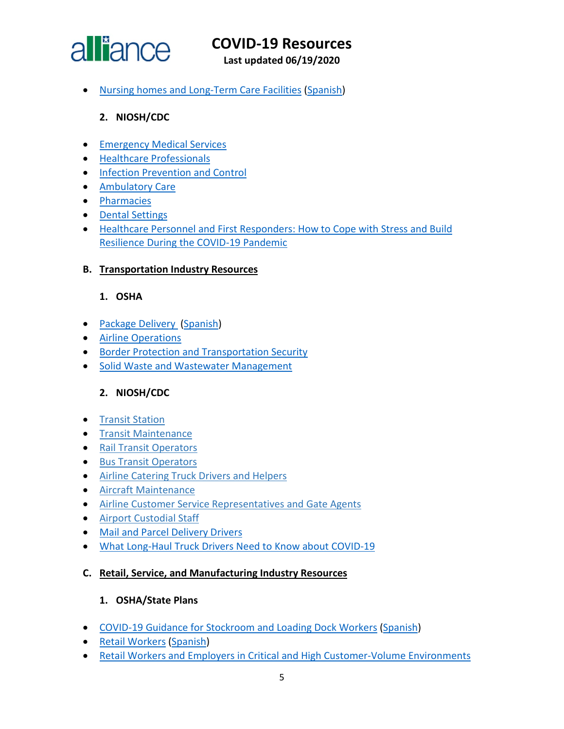

**Last updated 06/19/2020**

• [Nursing homes and Long-Term Care Facilities](https://www.osha.gov/Publications/OSHA4025.pdf) [\(Spanish\)](https://www.osha.gov/Publications/OSHA4026.pdf)

#### **2. NIOSH/CDC**

- [Emergency Medical Services](https://www.cdc.gov/coronavirus/2019-ncov/hcp/guidance-for-ems.html)
- [Healthcare Professionals](https://www.cdc.gov/coronavirus/2019-nCoV/hcp/index.html)
- [Infection Prevention and Control](https://www.cdc.gov/coronavirus/2019-ncov/hcp/infection-control-recommendations.html)
- [Ambulatory Care](https://www.cdc.gov/coronavirus/2019-ncov/hcp/guidance-hcf.html#outpatient-ambulatory)
- [Pharmacies](https://www.cdc.gov/coronavirus/2019-ncov/hcp/pharmacies.html)
- [Dental Settings](https://www.cdc.gov/coronavirus/2019-ncov/hcp/dental-settings.html)
- [Healthcare Personnel and First Responders: How to Cope with Stress and Build](https://www.cdc.gov/coronavirus/2019-ncov/community/mental-health-healthcare.html?deliveryName=USCDC_10_4-DM27902)  [Resilience During the COVID-19 Pandemic](https://www.cdc.gov/coronavirus/2019-ncov/community/mental-health-healthcare.html?deliveryName=USCDC_10_4-DM27902)

#### <span id="page-4-0"></span>**B. Transportation Industry Resources**

#### **1. OSHA**

- [Package Delivery](https://www.osha.gov/Publications/OSHA3998.pdf) [\(Spanish\)](https://gcc01.safelinks.protection.outlook.com/?url=https%3A%2F%2Fwww.osha.gov%2FPublications%2FOSHA3999.pdf&data=02%7C01%7CLee.Joey.C%40dol.gov%7Ca967410215a744041cfa08d7e235e247%7C75a6305472044e0c9126adab971d4aca%7C0%7C0%7C637226593365135726&sdata=lQKYo68Vt9p9WmkjePai4PWYyrKf%2BDeDqr7lGmD84hQ%3D&reserved=0)
- [Airline Operations](https://www.osha.gov/SLTC/covid-19/airline.html)
- [Border Protection and Transportation Security](https://www.osha.gov/SLTC/covid-19/border-protection-transportation-security.html)
- [Solid Waste and Wastewater Management](https://www.osha.gov/SLTC/covid-19/solid-waste-wastewater-mgmt.html)

#### **2. NIOSH/CDC**

- [Transit Station](https://gcc01.safelinks.protection.outlook.com/?url=https%3A%2F%2Fwww.cdc.gov%2Fcoronavirus%2F2019-ncov%2Fcommunity%2Forganizations%2Ftransit-station-workers.html&data=02%7C01%7CLee.Joey.C%40dol.gov%7Cd3f028a2390845ad13b208d7e073765f%7C75a6305472044e0c9126adab971d4aca%7C0%7C0%7C637224658823402199&sdata=gqxR39aHbuIIXIFKdxcH5%2Fr0vh%2F%2F8kcprzxfnJYzU5c%3D&reserved=0)
- [Transit Maintenance](https://gcc01.safelinks.protection.outlook.com/?url=https%3A%2F%2Fwww.cdc.gov%2Fcoronavirus%2F2019-ncov%2Fcommunity%2Forganizations%2Ftransit-maintenance-worker.html&data=02%7C01%7CLee.Joey.C%40dol.gov%7Cd3f028a2390845ad13b208d7e073765f%7C75a6305472044e0c9126adab971d4aca%7C0%7C0%7C637224658823402199&sdata=j%2FUwewl%2FKQrbWd%2BDaUmUqfjBE5nOjDYRkHN05dJuJmM%3D&reserved=0)
- [Rail Transit Operators](https://gcc01.safelinks.protection.outlook.com/?url=https%3A%2F%2Fwww.cdc.gov%2Fcoronavirus%2F2019-ncov%2Fcommunity%2Forganizations%2Frail-transit-operator.html&data=02%7C01%7CLee.Joey.C%40dol.gov%7Cd3f028a2390845ad13b208d7e073765f%7C75a6305472044e0c9126adab971d4aca%7C0%7C0%7C637224658823412157&sdata=Qn4BrDpf14FE29V6jS%2F6XeZ9sYQ1dThZP4p3YCPQo10%3D&reserved=0)
- [Bus Transit Operators](https://gcc01.safelinks.protection.outlook.com/?url=https%3A%2F%2Fwww.cdc.gov%2Fcoronavirus%2F2019-ncov%2Fcommunity%2Forganizations%2Fbus-transit-operator.html&data=02%7C01%7CLee.Joey.C%40dol.gov%7Cd3f028a2390845ad13b208d7e073765f%7C75a6305472044e0c9126adab971d4aca%7C0%7C0%7C637224658823412157&sdata=1LfVqpGfiPT8YHqVgmknweLGf51kxuB6CO3wyC%2FGVKY%3D&reserved=0)
- [Airline Catering Truck Drivers and Helpers](https://gcc01.safelinks.protection.outlook.com/?url=https%3A%2F%2Fwww.cdc.gov%2Fcoronavirus%2F2019-ncov%2Fcommunity%2Forganizations%2Fairline-catering-truck-drivers.html&data=02%7C01%7CLee.Joey.C%40dol.gov%7Cd3f028a2390845ad13b208d7e073765f%7C75a6305472044e0c9126adab971d4aca%7C0%7C0%7C637224658823432069&sdata=nWmSKI0rQFZOEra72a5umFVE%2BgWhrOSYZet4aGSZDgI%3D&reserved=0)
- [Aircraft Maintenance](https://gcc01.safelinks.protection.outlook.com/?url=https%3A%2F%2Fwww.cdc.gov%2Fcoronavirus%2F2019-ncov%2Fcommunity%2Forganizations%2Faircraft-maintenance-workers.html&data=02%7C01%7CLee.Joey.C%40dol.gov%7Cd3f028a2390845ad13b208d7e073765f%7C75a6305472044e0c9126adab971d4aca%7C0%7C0%7C637224658823432069&sdata=aIi6sfP%2BuhQPcDVin8Ki4gAcFUYcBO6YyFQNymV0zTI%3D&reserved=0)
- [Airline Customer Service Representatives and Gate Agents](https://gcc01.safelinks.protection.outlook.com/?url=https%3A%2F%2Fwww.cdc.gov%2Fcoronavirus%2F2019-ncov%2Fcommunity%2Fairport-customer-factsheet.html&data=02%7C01%7CLee.Joey.C%40dol.gov%7Cd3f028a2390845ad13b208d7e073765f%7C75a6305472044e0c9126adab971d4aca%7C0%7C0%7C637224658823432069&sdata=xDeDkhBeqOtXLQNdSOPbiMVIKIRyIGdzKuobtpNN3kk%3D&reserved=0)
- [Airport Custodial Staff](https://gcc01.safelinks.protection.outlook.com/?url=https%3A%2F%2Fwww.cdc.gov%2Fcoronavirus%2F2019-ncov%2Fcommunity%2Forganizations%2Fairport-custodial-staff.html&data=02%7C01%7CLee.Joey.C%40dol.gov%7Cd3f028a2390845ad13b208d7e073765f%7C75a6305472044e0c9126adab971d4aca%7C0%7C0%7C637224658823442025&sdata=gnJ152LsJtL5XT0VMono%2Bu8scocC4dlsbgiZXl%2BcnE0%3D&reserved=0)
- [Mail and Parcel Delivery Drivers](https://www.cdc.gov/coronavirus/2019-ncov/community/organizations/mail-parcel-drivers.html)
- [What Long-Haul Truck Drivers Need to Know about COVID-19](https://www.cdc.gov/coronavirus/2019-ncov/community/organizations/long-haul-trucking.html?deliveryName=USCDC_10_4-DM27902)

#### <span id="page-4-1"></span>**C. Retail, Service, and Manufacturing Industry Resources**

#### **1. OSHA/State Plans**

- [COVID-19 Guidance for Stockroom and Loading Dock Workers](https://www.osha.gov/Publications/OSHA4029.pdf) [\(Spanish\)](https://www.osha.gov/Publications/OSHA4030.pdf)
- [Retail Workers](https://www.osha.gov/Publications/OSHA3996.pdf) [\(Spanish\)](https://www.osha.gov/Publications/OSHA3997.pdf)
- [Retail Workers and Employers in Critical and High Customer-Volume Environments](https://www.osha.gov/SLTC/covid-19/retail.html)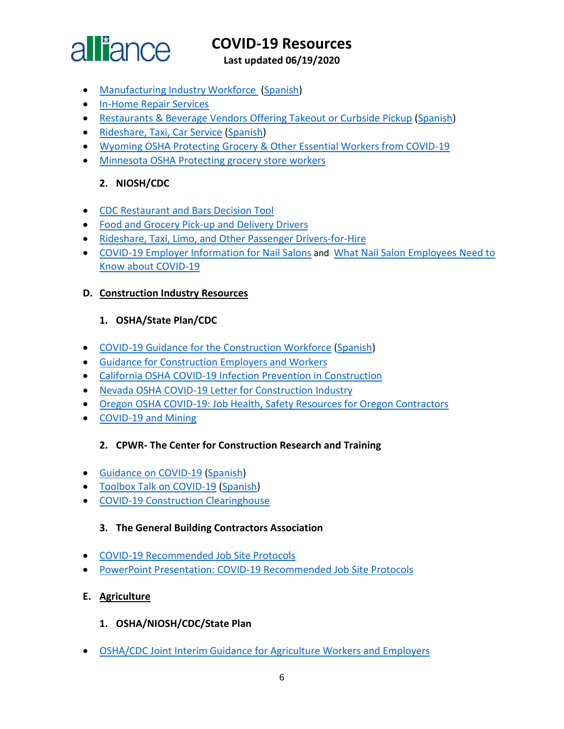

**Last updated 06/19/2020**

- [Manufacturing Industry](https://www.osha.gov/Publications/OSHA4002.pdf) Workforce [\(Spanish\)](https://www.osha.gov/Publications/OSHA4003.pdf)
- [In-Home Repair Services](https://www.osha.gov/SLTC/covid-19/in-home-repair.html)
- [Restaurants & Beverage Vendors Offering Takeout or Curbside Pickup](https://www.osha.gov/Publications/OSHA4017.pdf) [\(Spanish\)](https://www.osha.gov/Publications/OSHA4018.pdf)
- [Rideshare, Taxi, Car Service](https://www.osha.gov/Publications/OSHA4021.pdf) [\(Spanish\)](https://www.osha.gov/Publications/OSHA4022.pdf)
- [Wyoming OSHA Protecting Grocery & Other Essential Workers from COVID-19](http://wyomingworkforce.org/news/2020-04-14a/)
- [Minnesota OSHA Protecting grocery store workers](http://www.dli.mn.gov/sites/default/files/pdf/fact_grocery_stores.pdf)

#### **2. NIOSH/CDC**

- [CDC Restaurant and Bars Decision Tool](https://www.cdc.gov/coronavirus/2019-ncov/community/organizations/restaurants-and-bars-decision-tool.html)
- [Food and Grocery Pick-up and Delivery Drivers](https://www.cdc.gov/coronavirus/2019-ncov/community/organizations/food-grocery-drivers.html)
- [Rideshare, Taxi, Limo, and Other Passenger Drivers-for-Hire](https://www.cdc.gov/coronavirus/2019-ncov/community/organizations/rideshare-drivers-for-hire.html)
- [COVID-19 Employer Information for Nail Salons](https://www.cdc.gov/coronavirus/2019-ncov/community/organizations/nail-salon-employers.html?deliveryName=USCDC_10_4-DM30499) and [What Nail Salon Employees Need to](https://www.cdc.gov/coronavirus/2019-ncov/community/organizations/nail-salon-employees.html?deliveryName=USCDC_10_4-DM30499)  [Know about COVID-19](https://www.cdc.gov/coronavirus/2019-ncov/community/organizations/nail-salon-employees.html?deliveryName=USCDC_10_4-DM30499)

#### <span id="page-5-0"></span>**D. Construction Industry Resources**

#### **1. OSHA/State Plan/CDC**

- [COVID-19 Guidance for the Construction Workforce](https://www.osha.gov/Publications/OSHA4000.pdf) [\(Spanish\)](https://www.osha.gov/Publications/OSHA4001.pdf)
- [Guidance for Construction Employers and Workers](https://www.osha.gov/SLTC/covid-19/construction.html)
- [California OSHA COVID-19 Infection Prevention in Construction](https://www.dir.ca.gov/dosh/coronavirus/COVID-19-Infection-Prevention-in-Construction.pdf)
- Nevada OSHA [COVID-19 Letter for Construction Industry](http://dir.nv.gov/uploadedFiles/dirnvgov/content/home/AssessmentsDocs/OSHA%20COVID%2019%20Letter%20for%20Construction%20Industry.pdf)
- Oregon OSHA [COVID-19: Job Health, Safety Resources for Oregon Contractors](https://osha.oregon.gov/Documents/COVID19-orosha-ccb-contractors.pdf)
- [COVID-19 and Mining](https://www.cdc.gov/coronavirus/2019-ncov/community/miners.html?deliveryName=USCDC_10_4-DM30499)

#### **2. CPWR- The Center for Construction Research and Training**

- [Guidance on COVID-19](https://www.cpwr.com/sites/default/files/CPWR_Guidance_on_COVID.pdf) [\(Spanish\)](https://www.cpwr.com/sites/default/files/CPWR_Guidance_on_COVID_SPANISH.pdf)
- [Toolbox Talk on COVID-19](https://www.cpwr.com/sites/default/files/publications/TT-COVID-19.pdf) [\(Spanish\)](https://www.cpwr.com/sites/default/files/publications/spanish/TT-SP-COVID-19.pdf)
- [COVID-19 Construction Clearinghouse](http://covid.elcosh.org/index.php)

#### **3. The General Building Contractors Association**

- [COVID-19 Recommended Job Site Protocols](https://gbca.com/wp-content/uploads/2020/04/2020.04.08-COVID-19-Job-Site-Protocol-BTC-no-signatures-1.pdf)
- [PowerPoint Presentation: COVID-19 Recommended Job Site Protocols](https://gbca.com/wp-content/uploads/2020/04/GBCA-COVID-19-Safety-Presentation-FINAL-for-Presentation-Update-April-14.pdf)

#### <span id="page-5-1"></span>**E. Agriculture**

- **1. OSHA/NIOSH/CDC/State Plan**
- [OSHA/CDC Joint Interim Guidance for Agriculture Workers and Employers](https://www.cdc.gov/coronavirus/2019-ncov/community/guidance-agricultural-workers.html)